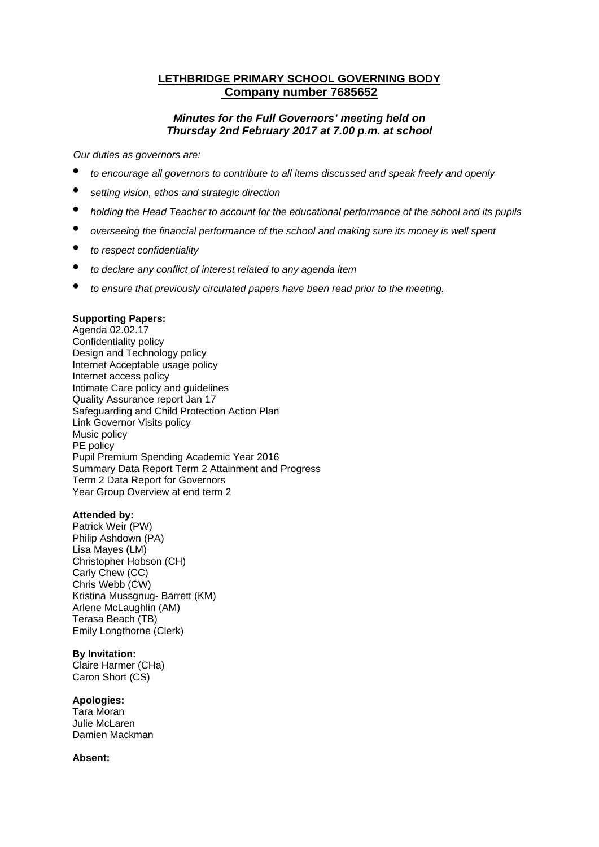# **LETHBRIDGE PRIMARY SCHOOL GOVERNING BODY Company number 7685652**

# *Minutes for the Full Governors' meeting held on Thursday 2nd February 2017 at 7.00 p.m. at school*

*Our duties as governors are:* 

- *to encourage all governors to contribute to all items discussed and speak freely and openly*
- *setting vision, ethos and strategic direction*
- *holding the Head Teacher to account for the educational performance of the school and its pupils*
- *overseeing the financial performance of the school and making sure its money is well spent*
- *to respect confidentiality*
- *to declare any conflict of interest related to any agenda item*
- *to ensure that previously circulated papers have been read prior to the meeting.*

#### **Supporting Papers:**

Agenda 02.02.17 Confidentiality policy Design and Technology policy Internet Acceptable usage policy Internet access policy Intimate Care policy and guidelines Quality Assurance report Jan 17 Safeguarding and Child Protection Action Plan Link Governor Visits policy Music policy PE policy Pupil Premium Spending Academic Year 2016 Summary Data Report Term 2 Attainment and Progress Term 2 Data Report for Governors Year Group Overview at end term 2

#### **Attended by:**

Patrick Weir (PW) Philip Ashdown (PA) Lisa Mayes (LM) Christopher Hobson (CH) Carly Chew (CC) Chris Webb (CW) Kristina Mussgnug- Barrett (KM) Arlene McLaughlin (AM) Terasa Beach (TB) Emily Longthorne (Clerk)

#### **By Invitation:**

Claire Harmer (CHa) Caron Short (CS)

### **Apologies:**

Tara Moran Julie McLaren Damien Mackman

### **Absent:**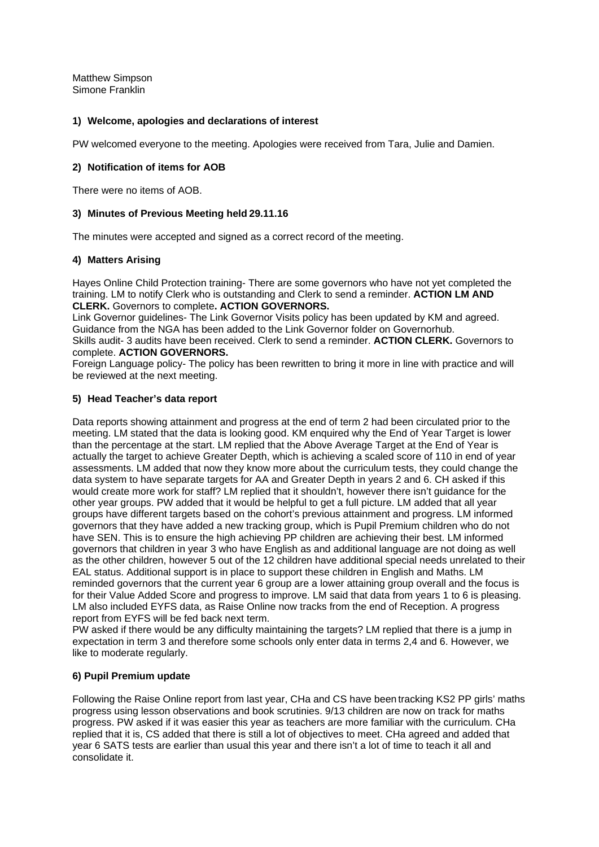Matthew Simpson Simone Franklin

## **1) Welcome, apologies and declarations of interest**

PW welcomed everyone to the meeting. Apologies were received from Tara, Julie and Damien.

## **2) Notification of items for AOB**

There were no items of AOB.

## **3) Minutes of Previous Meeting held 29.11.16**

The minutes were accepted and signed as a correct record of the meeting.

## **4) Matters Arising**

Hayes Online Child Protection training- There are some governors who have not yet completed the training. LM to notify Clerk who is outstanding and Clerk to send a reminder. **ACTION LM AND CLERK.** Governors to complete**. ACTION GOVERNORS.**

Link Governor guidelines- The Link Governor Visits policy has been updated by KM and agreed. Guidance from the NGA has been added to the Link Governor folder on Governorhub.

Skills audit- 3 audits have been received. Clerk to send a reminder. **ACTION CLERK.** Governors to complete. **ACTION GOVERNORS.** 

Foreign Language policy- The policy has been rewritten to bring it more in line with practice and will be reviewed at the next meeting.

## **5) Head Teacher's data report**

Data reports showing attainment and progress at the end of term 2 had been circulated prior to the meeting. LM stated that the data is looking good. KM enquired why the End of Year Target is lower than the percentage at the start. LM replied that the Above Average Target at the End of Year is actually the target to achieve Greater Depth, which is achieving a scaled score of 110 in end of year assessments. LM added that now they know more about the curriculum tests, they could change the data system to have separate targets for AA and Greater Depth in years 2 and 6. CH asked if this would create more work for staff? LM replied that it shouldn't, however there isn't guidance for the other year groups. PW added that it would be helpful to get a full picture. LM added that all year groups have different targets based on the cohort's previous attainment and progress. LM informed governors that they have added a new tracking group, which is Pupil Premium children who do not have SEN. This is to ensure the high achieving PP children are achieving their best. LM informed governors that children in year 3 who have English as and additional language are not doing as well as the other children, however 5 out of the 12 children have additional special needs unrelated to their EAL status. Additional support is in place to support these children in English and Maths. LM reminded governors that the current year 6 group are a lower attaining group overall and the focus is for their Value Added Score and progress to improve. LM said that data from years 1 to 6 is pleasing. LM also included EYFS data, as Raise Online now tracks from the end of Reception. A progress report from EYFS will be fed back next term.

PW asked if there would be any difficulty maintaining the targets? LM replied that there is a jump in expectation in term 3 and therefore some schools only enter data in terms 2,4 and 6. However, we like to moderate regularly.

## **6) Pupil Premium update**

Following the Raise Online report from last year, CHa and CS have been tracking KS2 PP girls' maths progress using lesson observations and book scrutinies. 9/13 children are now on track for maths progress. PW asked if it was easier this year as teachers are more familiar with the curriculum. CHa replied that it is, CS added that there is still a lot of objectives to meet. CHa agreed and added that year 6 SATS tests are earlier than usual this year and there isn't a lot of time to teach it all and consolidate it.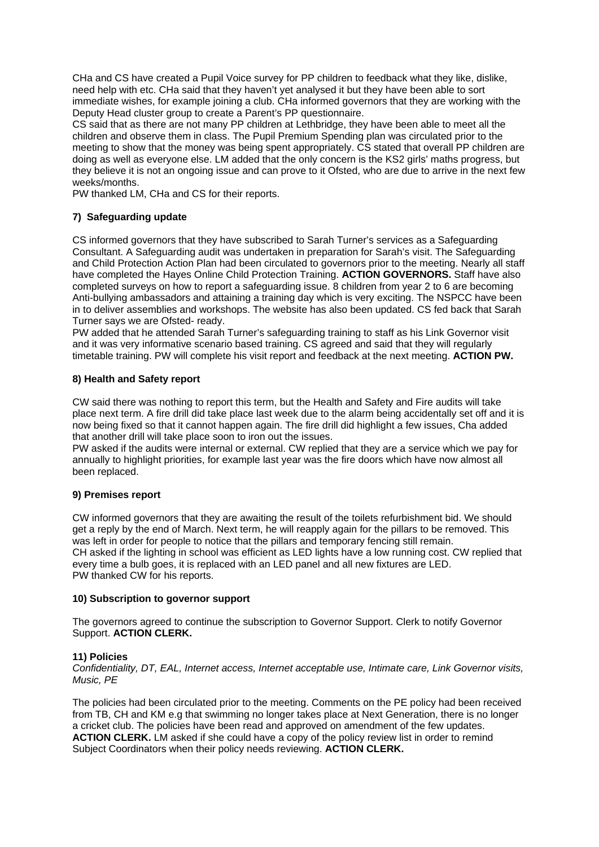CHa and CS have created a Pupil Voice survey for PP children to feedback what they like, dislike, need help with etc. CHa said that they haven't yet analysed it but they have been able to sort immediate wishes, for example joining a club. CHa informed governors that they are working with the Deputy Head cluster group to create a Parent's PP questionnaire.

CS said that as there are not many PP children at Lethbridge, they have been able to meet all the children and observe them in class. The Pupil Premium Spending plan was circulated prior to the meeting to show that the money was being spent appropriately. CS stated that overall PP children are doing as well as everyone else. LM added that the only concern is the KS2 girls' maths progress, but they believe it is not an ongoing issue and can prove to it Ofsted, who are due to arrive in the next few weeks/months.

PW thanked LM, CHa and CS for their reports.

# **7) Safeguarding update**

CS informed governors that they have subscribed to Sarah Turner's services as a Safeguarding Consultant. A Safeguarding audit was undertaken in preparation for Sarah's visit. The Safeguarding and Child Protection Action Plan had been circulated to governors prior to the meeting. Nearly all staff have completed the Hayes Online Child Protection Training. **ACTION GOVERNORS.** Staff have also completed surveys on how to report a safeguarding issue. 8 children from year 2 to 6 are becoming Anti-bullying ambassadors and attaining a training day which is very exciting. The NSPCC have been in to deliver assemblies and workshops. The website has also been updated. CS fed back that Sarah Turner says we are Ofsted- ready.

PW added that he attended Sarah Turner's safeguarding training to staff as his Link Governor visit and it was very informative scenario based training. CS agreed and said that they will regularly timetable training. PW will complete his visit report and feedback at the next meeting. **ACTION PW.**

## **8) Health and Safety report**

CW said there was nothing to report this term, but the Health and Safety and Fire audits will take place next term. A fire drill did take place last week due to the alarm being accidentally set off and it is now being fixed so that it cannot happen again. The fire drill did highlight a few issues, Cha added that another drill will take place soon to iron out the issues.

PW asked if the audits were internal or external. CW replied that they are a service which we pay for annually to highlight priorities, for example last year was the fire doors which have now almost all been replaced.

## **9) Premises report**

CW informed governors that they are awaiting the result of the toilets refurbishment bid. We should get a reply by the end of March. Next term, he will reapply again for the pillars to be removed. This was left in order for people to notice that the pillars and temporary fencing still remain. CH asked if the lighting in school was efficient as LED lights have a low running cost. CW replied that every time a bulb goes, it is replaced with an LED panel and all new fixtures are LED. PW thanked CW for his reports.

## **10) Subscription to governor support**

The governors agreed to continue the subscription to Governor Support. Clerk to notify Governor Support. **ACTION CLERK.**

## **11) Policies**

*Confidentiality, DT, EAL, Internet access, Internet acceptable use, Intimate care, Link Governor visits, Music, PE* 

The policies had been circulated prior to the meeting. Comments on the PE policy had been received from TB, CH and KM e.g that swimming no longer takes place at Next Generation, there is no longer a cricket club. The policies have been read and approved on amendment of the few updates. **ACTION CLERK.** LM asked if she could have a copy of the policy review list in order to remind Subject Coordinators when their policy needs reviewing. **ACTION CLERK.**